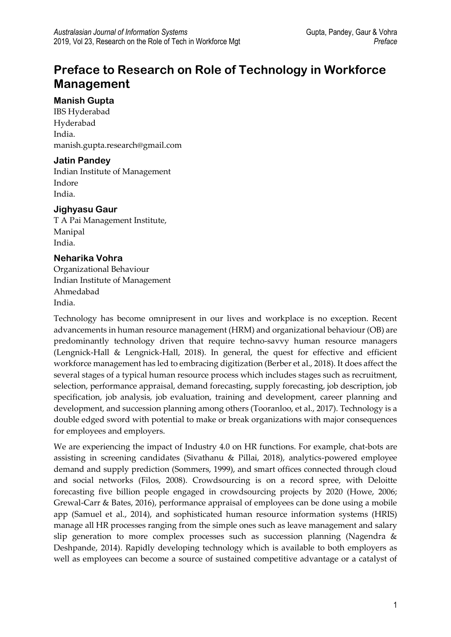# **Preface to Research on Role of Technology in Workforce Management**

#### **Manish Gupta**

IBS Hyderabad Hyderabad India. manish.gupta.research@gmail.com

#### **Jatin Pandey**

Indian Institute of Management Indore India.

### **Jighyasu Gaur**

T A Pai Management Institute, Manipal India.

### **Neharika Vohra**

Organizational Behaviour Indian Institute of Management Ahmedabad India.

Technology has become omnipresent in our lives and workplace is no exception. Recent advancements in human resource management (HRM) and organizational behaviour (OB) are predominantly technology driven that require techno-savvy human resource managers (Lengnick-Hall & Lengnick-Hall, 2018). In general, the quest for effective and efficient workforce management has led to embracing digitization (Berber et al., 2018). It does affect the several stages of a typical human resource process which includes stages such as recruitment, selection, performance appraisal, demand forecasting, supply forecasting, job description, job specification, job analysis, job evaluation, training and development, career planning and development, and succession planning among others (Tooranloo, et al., 2017). Technology is a double edged sword with potential to make or break organizations with major consequences for employees and employers.

We are experiencing the impact of Industry 4.0 on HR functions. For example, chat-bots are assisting in screening candidates (Sivathanu & Pillai, 2018), analytics-powered employee demand and supply prediction (Sommers, 1999), and smart offices connected through cloud and social networks (Filos, 2008). Crowdsourcing is on a record spree, with Deloitte forecasting five billion people engaged in crowdsourcing projects by 2020 (Howe, 2006; Grewal-Carr & Bates, 2016), performance appraisal of employees can be done using a mobile app (Samuel et al., 2014), and sophisticated human resource information systems (HRIS) manage all HR processes ranging from the simple ones such as leave management and salary slip generation to more complex processes such as succession planning (Nagendra & Deshpande, 2014). Rapidly developing technology which is available to both employers as well as employees can become a source of sustained competitive advantage or a catalyst of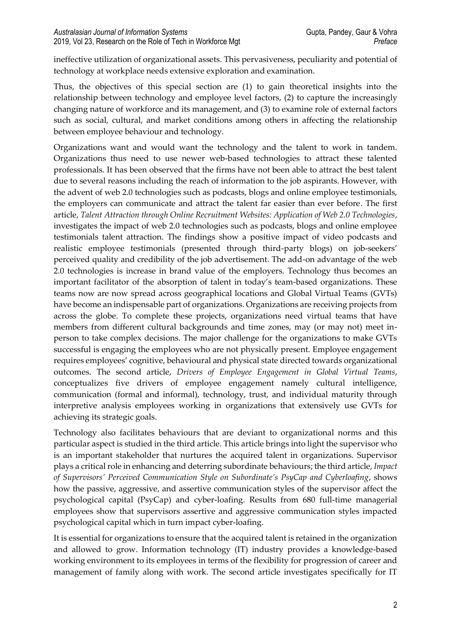ineffective utilization of organizational assets. This pervasiveness, peculiarity and potential of technology at workplace needs extensive exploration and examination.

Thus, the objectives of this special section are (1) to gain theoretical insights into the relationship between technology and employee level factors, (2) to capture the increasingly changing nature of workforce and its management, and (3) to examine role of external factors such as social, cultural, and market conditions among others in affecting the relationship between employee behaviour and technology.

Organizations want and would want the technology and the talent to work in tandem. Organizations thus need to use newer web-based technologies to attract these talented professionals. It has been observed that the firms have not been able to attract the best talent due to several reasons including the reach of information to the job aspirants. However, with the advent of web 2.0 technologies such as podcasts, blogs and online employee testimonials, the employers can communicate and attract the talent far easier than ever before. The first article, *Talent Attraction through Online Recruitment Websites: Application of Web 2.0 Technologies*, investigates the impact of web 2.0 technologies such as podcasts, blogs and online employee testimonials talent attraction. The findings show a positive impact of video podcasts and realistic employee testimonials (presented through third-party blogs) on job-seekers' perceived quality and credibility of the job advertisement. The add-on advantage of the web 2.0 technologies is increase in brand value of the employers. Technology thus becomes an important facilitator of the absorption of talent in today's team-based organizations. These teams now are now spread across geographical locations and Global Virtual Teams (GVTs) have become an indispensable part of organizations. Organizations are receiving projects from across the globe. To complete these projects, organizations need virtual teams that have members from different cultural backgrounds and time zones, may (or may not) meet inperson to take complex decisions. The major challenge for the organizations to make GVTs successful is engaging the employees who are not physically present. Employee engagement requires employees' cognitive, behavioural and physical state directed towards organizational outcomes. The second article, *Drivers of Employee Engagement in Global Virtual Teams*, conceptualizes five drivers of employee engagement namely cultural intelligence, communication (formal and informal), technology, trust, and individual maturity through interpretive analysis employees working in organizations that extensively use GVTs for achieving its strategic goals.

Technology also facilitates behaviours that are deviant to organizational norms and this particular aspect is studied in the third article. This article brings into light the supervisor who is an important stakeholder that nurtures the acquired talent in organizations. Supervisor plays a critical role in enhancing and deterring subordinate behaviours; the third article, *Impact of Supervisors' Perceived Communication Style on Subordinate's PsyCap and Cyberloafing*, shows how the passive, aggressive, and assertive communication styles of the supervisor affect the psychological capital (PsyCap) and cyber-loafing. Results from 680 full-time managerial employees show that supervisors assertive and aggressive communication styles impacted psychological capital which in turn impact cyber-loafing.

It is essential for organizations to ensure that the acquired talent is retained in the organization and allowed to grow. Information technology (IT) industry provides a knowledge-based working environment to its employees in terms of the flexibility for progression of career and management of family along with work. The second article investigates specifically for IT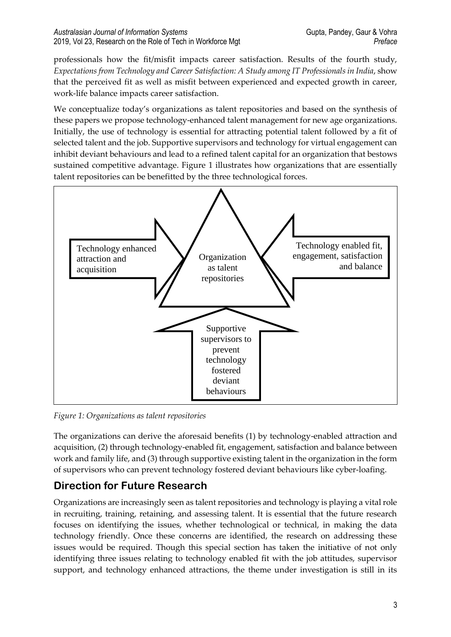professionals how the fit/misfit impacts career satisfaction. Results of the fourth study, *Expectations from Technology and Career Satisfaction: A Study among IT Professionals in India*, show that the perceived fit as well as misfit between experienced and expected growth in career, work-life balance impacts career satisfaction.

We conceptualize today's organizations as talent repositories and based on the synthesis of these papers we propose technology-enhanced talent management for new age organizations. Initially, the use of technology is essential for attracting potential talent followed by a fit of selected talent and the job. Supportive supervisors and technology for virtual engagement can inhibit deviant behaviours and lead to a refined talent capital for an organization that bestows sustained competitive advantage. Figure 1 illustrates how organizations that are essentially talent repositories can be benefitted by the three technological forces.



*Figure 1: Organizations as talent repositories*

The organizations can derive the aforesaid benefits (1) by technology-enabled attraction and acquisition, (2) through technology-enabled fit, engagement, satisfaction and balance between work and family life, and (3) through supportive existing talent in the organization in the form of supervisors who can prevent technology fostered deviant behaviours like cyber-loafing.

## **Direction for Future Research**

Organizations are increasingly seen as talent repositories and technology is playing a vital role in recruiting, training, retaining, and assessing talent. It is essential that the future research focuses on identifying the issues, whether technological or technical, in making the data technology friendly. Once these concerns are identified, the research on addressing these issues would be required. Though this special section has taken the initiative of not only identifying three issues relating to technology enabled fit with the job attitudes, supervisor support, and technology enhanced attractions, the theme under investigation is still in its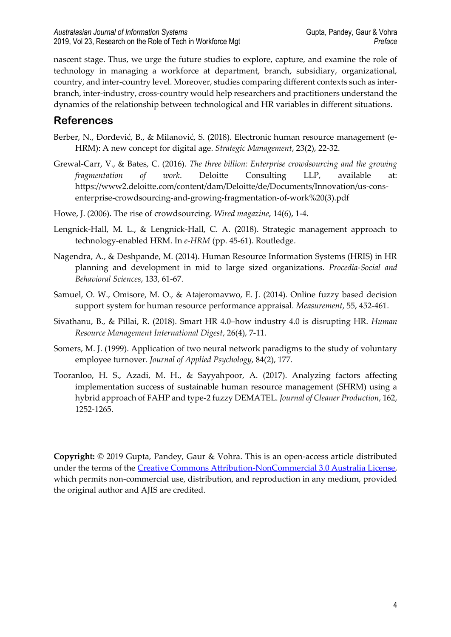nascent stage. Thus, we urge the future studies to explore, capture, and examine the role of technology in managing a workforce at department, branch, subsidiary, organizational, country, and inter-country level. Moreover, studies comparing different contexts such as interbranch, inter-industry, cross-country would help researchers and practitioners understand the dynamics of the relationship between technological and HR variables in different situations.

### **References**

- Berber, N., Đorđević, B., & Milanović, S. (2018). Electronic human resource management (e-HRM): A new concept for digital age. *Strategic Management*, 23(2), 22-32.
- Grewal-Carr, V., & Bates, C. (2016). *The three billion: Enterprise crowdsourcing and the growing fragmentation of work*. Deloitte Consulting LLP, available at: https://www2.deloitte.com/content/dam/Deloitte/de/Documents/Innovation/us-consenterprise-crowdsourcing-and-growing-fragmentation-of-work%20(3).pdf
- Howe, J. (2006). The rise of crowdsourcing. *Wired magazine*, 14(6), 1-4.
- Lengnick-Hall, M. L., & Lengnick-Hall, C. A. (2018). Strategic management approach to technology-enabled HRM. In *e-HRM* (pp. 45-61). Routledge.
- Nagendra, A., & Deshpande, M. (2014). Human Resource Information Systems (HRIS) in HR planning and development in mid to large sized organizations. *Procedia-Social and Behavioral Sciences*, 133, 61-67.
- Samuel, O. W., Omisore, M. O., & Atajeromavwo, E. J. (2014). Online fuzzy based decision support system for human resource performance appraisal. *Measurement*, 55, 452-461.
- Sivathanu, B., & Pillai, R. (2018). Smart HR 4.0–how industry 4.0 is disrupting HR. *Human Resource Management International Digest*, 26(4), 7-11.
- Somers, M. J. (1999). Application of two neural network paradigms to the study of voluntary employee turnover. *Journal of Applied Psychology*, 84(2), 177.
- Tooranloo, H. S., Azadi, M. H., & Sayyahpoor, A. (2017). Analyzing factors affecting implementation success of sustainable human resource management (SHRM) using a hybrid approach of FAHP and type-2 fuzzy DEMATEL. *Journal of Cleaner Production*, 162, 1252-1265.

**Copyright:** © 2019 Gupta, Pandey, Gaur & Vohra. This is an open-access article distributed under the terms of the [Creative Commons Attribution-NonCommercial 3.0 Australia License,](http://creativecommons.org/licenses/by-nc/3.0/au/) which permits non-commercial use, distribution, and reproduction in any medium, provided the original author and AJIS are credited.